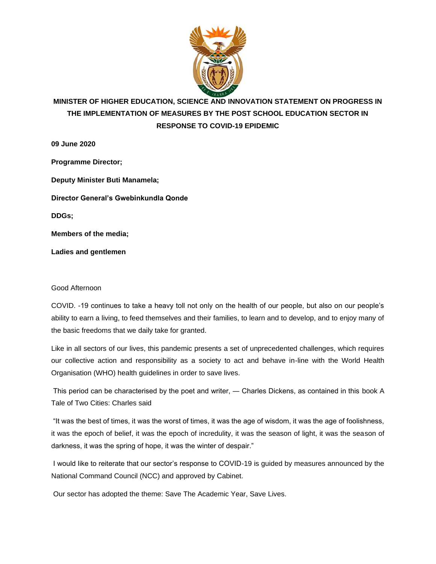

# **MINISTER OF HIGHER EDUCATION, SCIENCE AND INNOVATION STATEMENT ON PROGRESS IN THE IMPLEMENTATION OF MEASURES BY THE POST SCHOOL EDUCATION SECTOR IN RESPONSE TO COVID-19 EPIDEMIC**

**09 June 2020 Programme Director; Deputy Minister Buti Manamela; Director General's Gwebinkundla Qonde DDGs; Members of the media; Ladies and gentlemen**

### Good Afternoon

COVID. -19 continues to take a heavy toll not only on the health of our people, but also on our people's ability to earn a living, to feed themselves and their families, to learn and to develop, and to enjoy many of the basic freedoms that we daily take for granted.

Like in all sectors of our lives, this pandemic presents a set of unprecedented challenges, which requires our collective action and responsibility as a society to act and behave in-line with the World Health Organisation (WHO) health guidelines in order to save lives.

This period can be characterised by the poet and writer, ― Charles Dickens, as contained in this book A Tale of Two Cities: Charles said

"It was the best of times, it was the worst of times, it was the age of wisdom, it was the age of foolishness, it was the epoch of belief, it was the epoch of incredulity, it was the season of light, it was the season of darkness, it was the spring of hope, it was the winter of despair."

I would like to reiterate that our sector's response to COVID-19 is guided by measures announced by the National Command Council (NCC) and approved by Cabinet.

Our sector has adopted the theme: Save The Academic Year, Save Lives.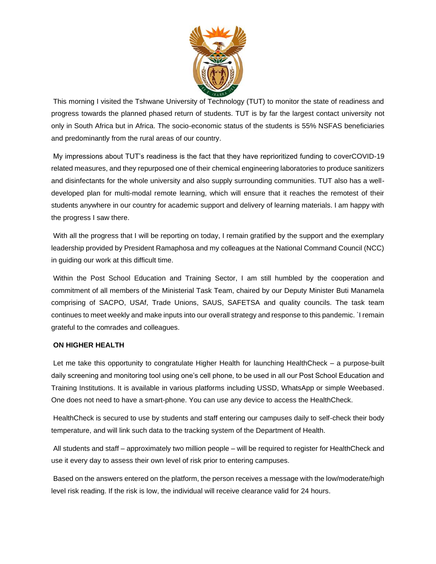

This morning I visited the Tshwane University of Technology (TUT) to monitor the state of readiness and progress towards the planned phased return of students. TUT is by far the largest contact university not only in South Africa but in Africa. The socio-economic status of the students is 55% NSFAS beneficiaries and predominantly from the rural areas of our country.

My impressions about TUT's readiness is the fact that they have reprioritized funding to coverCOVID-19 related measures, and they repurposed one of their chemical engineering laboratories to produce sanitizers and disinfectants for the whole university and also supply surrounding communities. TUT also has a welldeveloped plan for multi-modal remote learning, which will ensure that it reaches the remotest of their students anywhere in our country for academic support and delivery of learning materials. I am happy with the progress I saw there.

With all the progress that I will be reporting on today, I remain gratified by the support and the exemplary leadership provided by President Ramaphosa and my colleagues at the National Command Council (NCC) in guiding our work at this difficult time.

Within the Post School Education and Training Sector, I am still humbled by the cooperation and commitment of all members of the Ministerial Task Team, chaired by our Deputy Minister Buti Manamela comprising of SACPO, USAf, Trade Unions, SAUS, SAFETSA and quality councils. The task team continues to meet weekly and make inputs into our overall strategy and response to this pandemic. `I remain grateful to the comrades and colleagues.

#### **ON HIGHER HEALTH**

Let me take this opportunity to congratulate Higher Health for launching HealthCheck – a purpose-built daily screening and monitoring tool using one's cell phone, to be used in all our Post School Education and Training Institutions. It is available in various platforms including USSD, WhatsApp or simple Weebased. One does not need to have a smart-phone. You can use any device to access the HealthCheck.

HealthCheck is secured to use by students and staff entering our campuses daily to self-check their body temperature, and will link such data to the tracking system of the Department of Health.

All students and staff – approximately two million people – will be required to register for HealthCheck and use it every day to assess their own level of risk prior to entering campuses.

Based on the answers entered on the platform, the person receives a message with the low/moderate/high level risk reading. If the risk is low, the individual will receive clearance valid for 24 hours.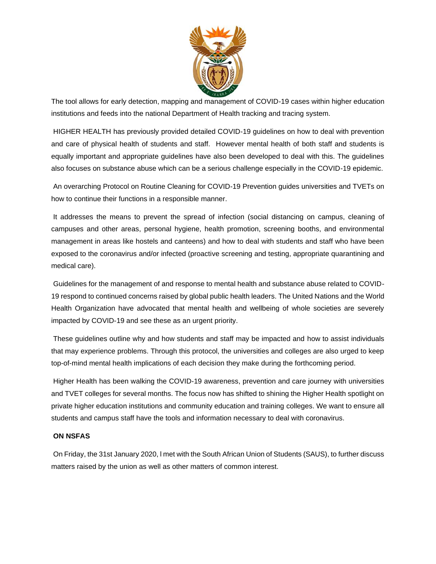

The tool allows for early detection, mapping and management of COVID-19 cases within higher education institutions and feeds into the national Department of Health tracking and tracing system.

HIGHER HEALTH has previously provided detailed COVID-19 guidelines on how to deal with prevention and care of physical health of students and staff. However mental health of both staff and students is equally important and appropriate guidelines have also been developed to deal with this. The guidelines also focuses on substance abuse which can be a serious challenge especially in the COVID-19 epidemic.

An overarching Protocol on Routine Cleaning for COVID-19 Prevention guides universities and TVETs on how to continue their functions in a responsible manner.

It addresses the means to prevent the spread of infection (social distancing on campus, cleaning of campuses and other areas, personal hygiene, health promotion, screening booths, and environmental management in areas like hostels and canteens) and how to deal with students and staff who have been exposed to the coronavirus and/or infected (proactive screening and testing, appropriate quarantining and medical care).

Guidelines for the management of and response to mental health and substance abuse related to COVID-19 respond to continued concerns raised by global public health leaders. The United Nations and the World Health Organization have advocated that mental health and wellbeing of whole societies are severely impacted by COVID-19 and see these as an urgent priority.

These guidelines outline why and how students and staff may be impacted and how to assist individuals that may experience problems. Through this protocol, the universities and colleges are also urged to keep top-of-mind mental health implications of each decision they make during the forthcoming period.

Higher Health has been walking the COVID-19 awareness, prevention and care journey with universities and TVET colleges for several months. The focus now has shifted to shining the Higher Health spotlight on private higher education institutions and community education and training colleges. We want to ensure all students and campus staff have the tools and information necessary to deal with coronavirus.

### **ON NSFAS**

On Friday, the 31st January 2020, l met with the South African Union of Students (SAUS), to further discuss matters raised by the union as well as other matters of common interest.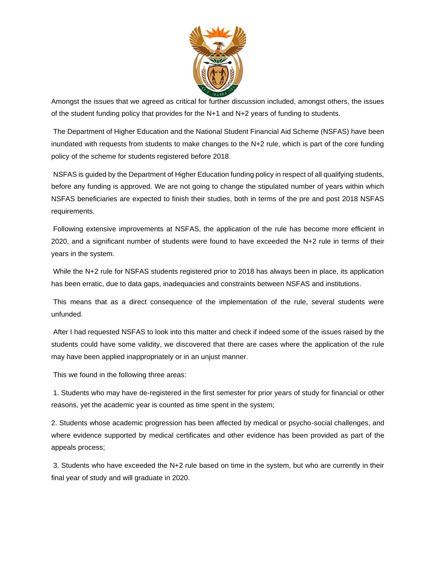

Amongst the issues that we agreed as critical for further discussion included, amongst others, the issues of the student funding policy that provides for the N+1 and N+2 years of funding to students.

The Department of Higher Education and the National Student Financial Aid Scheme (NSFAS) have been inundated with requests from students to make changes to the N+2 rule, which is part of the core funding policy of the scheme for students registered before 2018.

NSFAS is guided by the Department of Higher Education funding policy in respect of all qualifying students, before any funding is approved. We are not going to change the stipulated number of years within which NSFAS beneficiaries are expected to finish their studies, both in terms of the pre and post 2018 NSFAS requirements.

Following extensive improvements at NSFAS, the application of the rule has become more efficient in 2020, and a significant number of students were found to have exceeded the N+2 rule in terms of their years in the system.

While the N+2 rule for NSFAS students registered prior to 2018 has always been in place, its application has been erratic, due to data gaps, inadequacies and constraints between NSFAS and institutions.

This means that as a direct consequence of the implementation of the rule, several students were unfunded.

After I had requested NSFAS to look into this matter and check if indeed some of the issues raised by the students could have some validity, we discovered that there are cases where the application of the rule may have been applied inappropriately or in an unjust manner.

This we found in the following three areas:

1. Students who may have de-registered in the first semester for prior years of study for financial or other reasons, yet the academic year is counted as time spent in the system;

2. Students whose academic progression has been affected by medical or psycho-social challenges, and where evidence supported by medical certificates and other evidence has been provided as part of the appeals process;

3. Students who have exceeded the N+2 rule based on time in the system, but who are currently in their final year of study and will graduate in 2020.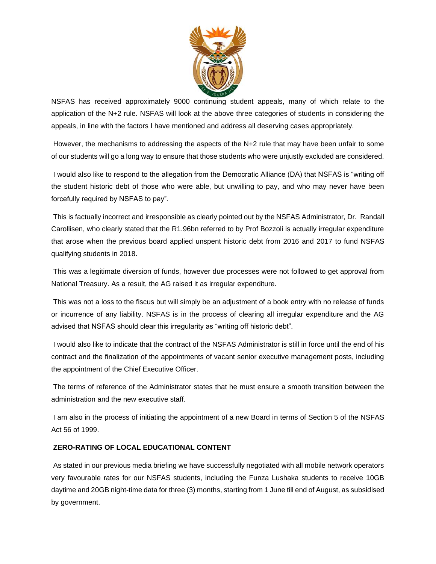

NSFAS has received approximately 9000 continuing student appeals, many of which relate to the application of the N+2 rule. NSFAS will look at the above three categories of students in considering the appeals, in line with the factors I have mentioned and address all deserving cases appropriately.

However, the mechanisms to addressing the aspects of the N+2 rule that may have been unfair to some of our students will go a long way to ensure that those students who were unjustly excluded are considered.

I would also like to respond to the allegation from the Democratic Alliance (DA) that NSFAS is "writing off the student historic debt of those who were able, but unwilling to pay, and who may never have been forcefully required by NSFAS to pay".

This is factually incorrect and irresponsible as clearly pointed out by the NSFAS Administrator, Dr. Randall Carollisen, who clearly stated that the R1.96bn referred to by Prof Bozzoli is actually irregular expenditure that arose when the previous board applied unspent historic debt from 2016 and 2017 to fund NSFAS qualifying students in 2018.

This was a legitimate diversion of funds, however due processes were not followed to get approval from National Treasury. As a result, the AG raised it as irregular expenditure.

This was not a loss to the fiscus but will simply be an adjustment of a book entry with no release of funds or incurrence of any liability. NSFAS is in the process of clearing all irregular expenditure and the AG advised that NSFAS should clear this irregularity as "writing off historic debt".

I would also like to indicate that the contract of the NSFAS Administrator is still in force until the end of his contract and the finalization of the appointments of vacant senior executive management posts, including the appointment of the Chief Executive Officer.

The terms of reference of the Administrator states that he must ensure a smooth transition between the administration and the new executive staff.

I am also in the process of initiating the appointment of a new Board in terms of Section 5 of the NSFAS Act 56 of 1999.

### **ZERO-RATING OF LOCAL EDUCATIONAL CONTENT**

As stated in our previous media briefing we have successfully negotiated with all mobile network operators very favourable rates for our NSFAS students, including the Funza Lushaka students to receive 10GB daytime and 20GB night-time data for three (3) months, starting from 1 June till end of August, as subsidised by government.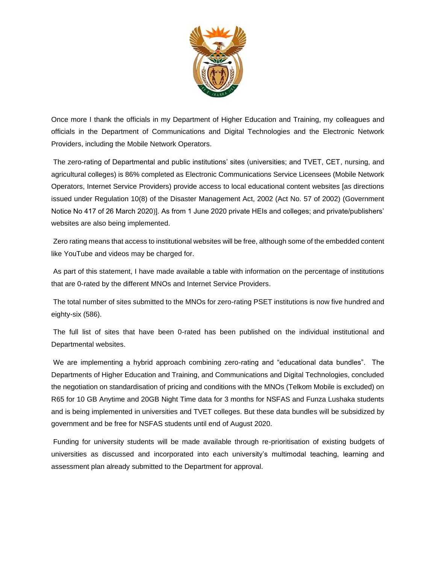

Once more I thank the officials in my Department of Higher Education and Training, my colleagues and officials in the Department of Communications and Digital Technologies and the Electronic Network Providers, including the Mobile Network Operators.

The zero-rating of Departmental and public institutions' sites (universities; and TVET, CET, nursing, and agricultural colleges) is 86% completed as Electronic Communications Service Licensees (Mobile Network Operators, Internet Service Providers) provide access to local educational content websites [as directions issued under Regulation 10(8) of the Disaster Management Act, 2002 (Act No. 57 of 2002) (Government Notice No 417 of 26 March 2020)]. As from 1 June 2020 private HEIs and colleges; and private/publishers' websites are also being implemented.

Zero rating means that access to institutional websites will be free, although some of the embedded content like YouTube and videos may be charged for.

As part of this statement, I have made available a table with information on the percentage of institutions that are 0-rated by the different MNOs and Internet Service Providers.

The total number of sites submitted to the MNOs for zero-rating PSET institutions is now five hundred and eighty-six (586).

The full list of sites that have been 0-rated has been published on the individual institutional and Departmental websites.

We are implementing a hybrid approach combining zero-rating and "educational data bundles". The Departments of Higher Education and Training, and Communications and Digital Technologies, concluded the negotiation on standardisation of pricing and conditions with the MNOs (Telkom Mobile is excluded) on R65 for 10 GB Anytime and 20GB Night Time data for 3 months for NSFAS and Funza Lushaka students and is being implemented in universities and TVET colleges. But these data bundles will be subsidized by government and be free for NSFAS students until end of August 2020.

Funding for university students will be made available through re-prioritisation of existing budgets of universities as discussed and incorporated into each university's multimodal teaching, learning and assessment plan already submitted to the Department for approval.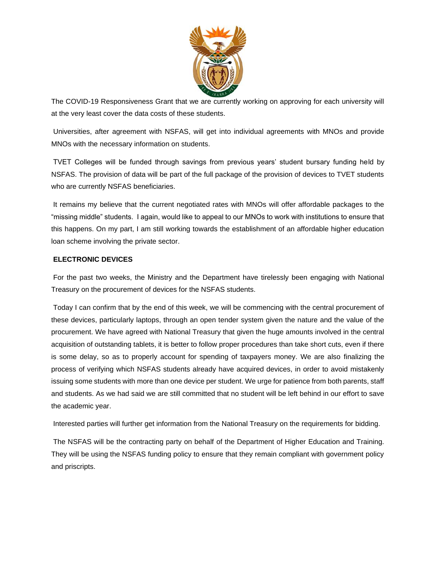

The COVID-19 Responsiveness Grant that we are currently working on approving for each university will at the very least cover the data costs of these students.

Universities, after agreement with NSFAS, will get into individual agreements with MNOs and provide MNOs with the necessary information on students.

TVET Colleges will be funded through savings from previous years' student bursary funding held by NSFAS. The provision of data will be part of the full package of the provision of devices to TVET students who are currently NSFAS beneficiaries.

It remains my believe that the current negotiated rates with MNOs will offer affordable packages to the "missing middle" students. I again, would like to appeal to our MNOs to work with institutions to ensure that this happens. On my part, I am still working towards the establishment of an affordable higher education loan scheme involving the private sector.

## **ELECTRONIC DEVICES**

For the past two weeks, the Ministry and the Department have tirelessly been engaging with National Treasury on the procurement of devices for the NSFAS students.

Today I can confirm that by the end of this week, we will be commencing with the central procurement of these devices, particularly laptops, through an open tender system given the nature and the value of the procurement. We have agreed with National Treasury that given the huge amounts involved in the central acquisition of outstanding tablets, it is better to follow proper procedures than take short cuts, even if there is some delay, so as to properly account for spending of taxpayers money. We are also finalizing the process of verifying which NSFAS students already have acquired devices, in order to avoid mistakenly issuing some students with more than one device per student. We urge for patience from both parents, staff and students. As we had said we are still committed that no student will be left behind in our effort to save the academic year.

Interested parties will further get information from the National Treasury on the requirements for bidding.

The NSFAS will be the contracting party on behalf of the Department of Higher Education and Training. They will be using the NSFAS funding policy to ensure that they remain compliant with government policy and priscripts.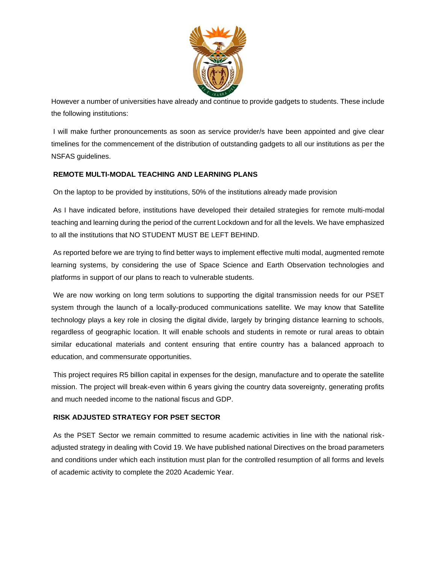

However a number of universities have already and continue to provide gadgets to students. These include the following institutions:

I will make further pronouncements as soon as service provider/s have been appointed and give clear timelines for the commencement of the distribution of outstanding gadgets to all our institutions as per the NSFAS guidelines.

## **REMOTE MULTI-MODAL TEACHING AND LEARNING PLANS**

On the laptop to be provided by institutions, 50% of the institutions already made provision

As I have indicated before, institutions have developed their detailed strategies for remote multi-modal teaching and learning during the period of the current Lockdown and for all the levels. We have emphasized to all the institutions that NO STUDENT MUST BE LEFT BEHIND.

As reported before we are trying to find better ways to implement effective multi modal, augmented remote learning systems, by considering the use of Space Science and Earth Observation technologies and platforms in support of our plans to reach to vulnerable students.

We are now working on long term solutions to supporting the digital transmission needs for our PSET system through the launch of a locally-produced communications satellite. We may know that Satellite technology plays a key role in closing the digital divide, largely by bringing distance learning to schools, regardless of geographic location. It will enable schools and students in remote or rural areas to obtain similar educational materials and content ensuring that entire country has a balanced approach to education, and commensurate opportunities.

This project requires R5 billion capital in expenses for the design, manufacture and to operate the satellite mission. The project will break-even within 6 years giving the country data sovereignty, generating profits and much needed income to the national fiscus and GDP.

### **RISK ADJUSTED STRATEGY FOR PSET SECTOR**

As the PSET Sector we remain committed to resume academic activities in line with the national riskadjusted strategy in dealing with Covid 19. We have published national Directives on the broad parameters and conditions under which each institution must plan for the controlled resumption of all forms and levels of academic activity to complete the 2020 Academic Year.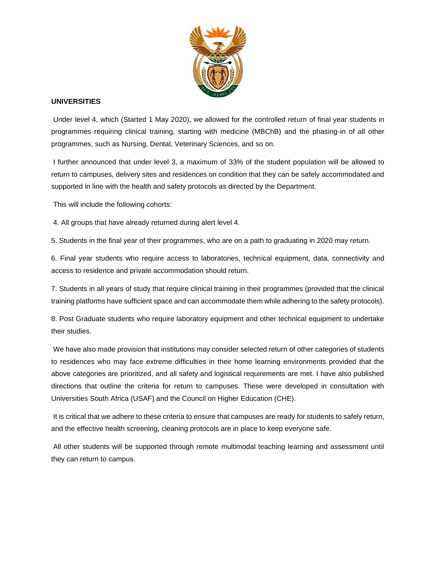

## **UNIVERSITIES**

Under level 4, which (Started 1 May 2020), we allowed for the controlled return of final year students in programmes requiring clinical training, starting with medicine (MBChB) and the phasing-in of all other programmes, such as Nursing, Dental, Veterinary Sciences, and so on.

I further announced that under level 3, a maximum of 33% of the student population will be allowed to return to campuses, delivery sites and residences on condition that they can be safely accommodated and supported in line with the health and safety protocols as directed by the Department.

This will include the following cohorts:

4. All groups that have already returned during alert level 4.

5. Students in the final year of their programmes, who are on a path to graduating in 2020 may return.

6. Final year students who require access to laboratories, technical equipment, data, connectivity and access to residence and private accommodation should return.

7. Students in all years of study that require clinical training in their programmes (provided that the clinical training platforms have sufficient space and can accommodate them while adhering to the safety protocols).

8. Post Graduate students who require laboratory equipment and other technical equipment to undertake their studies.

We have also made provision that institutions may consider selected return of other categories of students to residences who may face extreme difficulties in their home learning environments provided that the above categories are prioritized, and all safety and logistical requirements are met. I have also published directions that outline the criteria for return to campuses. These were developed in consultation with Universities South Africa (USAF) and the Council on Higher Education (CHE).

It is critical that we adhere to these criteria to ensure that campuses are ready for students to safely return, and the effective health screening, cleaning protocols are in place to keep everyone safe.

All other students will be supported through remote multimodal teaching learning and assessment until they can return to campus.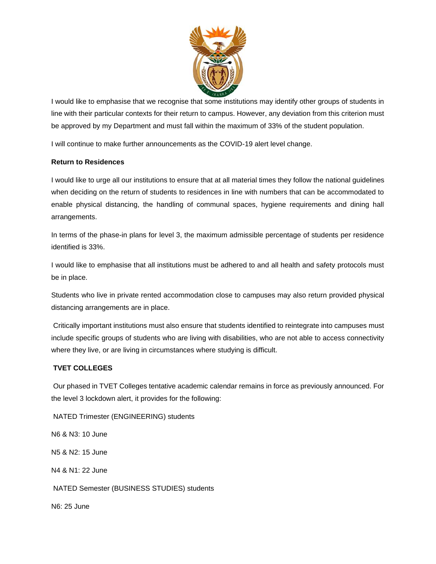

I would like to emphasise that we recognise that some institutions may identify other groups of students in line with their particular contexts for their return to campus. However, any deviation from this criterion must be approved by my Department and must fall within the maximum of 33% of the student population.

I will continue to make further announcements as the COVID-19 alert level change.

## **Return to Residences**

I would like to urge all our institutions to ensure that at all material times they follow the national guidelines when deciding on the return of students to residences in line with numbers that can be accommodated to enable physical distancing, the handling of communal spaces, hygiene requirements and dining hall arrangements.

In terms of the phase-in plans for level 3, the maximum admissible percentage of students per residence identified is 33%.

I would like to emphasise that all institutions must be adhered to and all health and safety protocols must be in place.

Students who live in private rented accommodation close to campuses may also return provided physical distancing arrangements are in place.

Critically important institutions must also ensure that students identified to reintegrate into campuses must include specific groups of students who are living with disabilities, who are not able to access connectivity where they live, or are living in circumstances where studying is difficult.

## **TVET COLLEGES**

Our phased in TVET Colleges tentative academic calendar remains in force as previously announced. For the level 3 lockdown alert, it provides for the following:

NATED Trimester (ENGINEERING) students

N6 & N3: 10 June N5 & N2: 15 June N4 & N1: 22 June NATED Semester (BUSINESS STUDIES) students N6: 25 June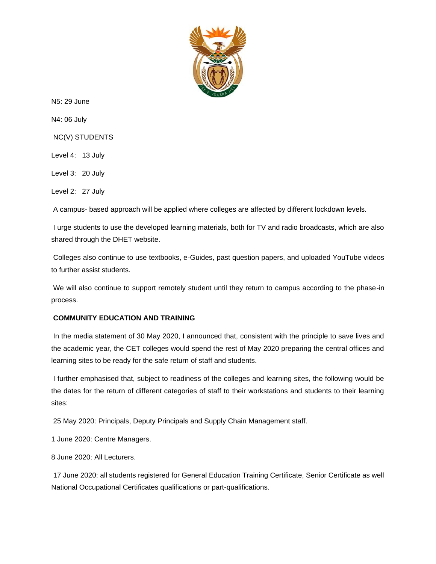

N5: 29 June

N4: 06 July

NC(V) STUDENTS

Level 4: 13 July

Level 3: 20 July

Level 2: 27 July

A campus- based approach will be applied where colleges are affected by different lockdown levels.

I urge students to use the developed learning materials, both for TV and radio broadcasts, which are also shared through the DHET website.

Colleges also continue to use textbooks, e-Guides, past question papers, and uploaded YouTube videos to further assist students.

We will also continue to support remotely student until they return to campus according to the phase-in process.

### **COMMUNITY EDUCATION AND TRAINING**

In the media statement of 30 May 2020, I announced that, consistent with the principle to save lives and the academic year, the CET colleges would spend the rest of May 2020 preparing the central offices and learning sites to be ready for the safe return of staff and students.

I further emphasised that, subject to readiness of the colleges and learning sites, the following would be the dates for the return of different categories of staff to their workstations and students to their learning sites:

25 May 2020: Principals, Deputy Principals and Supply Chain Management staff.

1 June 2020: Centre Managers.

8 June 2020: All Lecturers.

17 June 2020: all students registered for General Education Training Certificate, Senior Certificate as well National Occupational Certificates qualifications or part-qualifications.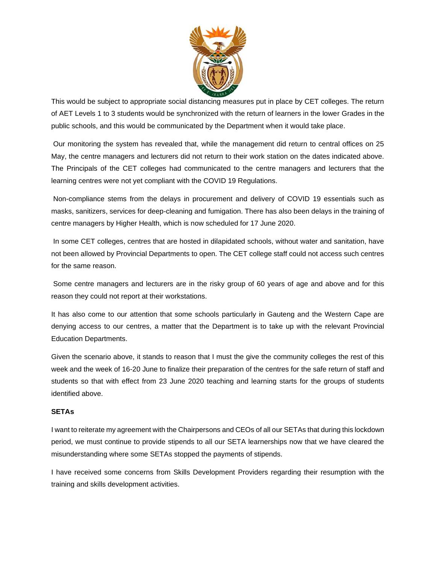

This would be subject to appropriate social distancing measures put in place by CET colleges. The return of AET Levels 1 to 3 students would be synchronized with the return of learners in the lower Grades in the public schools, and this would be communicated by the Department when it would take place.

Our monitoring the system has revealed that, while the management did return to central offices on 25 May, the centre managers and lecturers did not return to their work station on the dates indicated above. The Principals of the CET colleges had communicated to the centre managers and lecturers that the learning centres were not yet compliant with the COVID 19 Regulations.

Non-compliance stems from the delays in procurement and delivery of COVID 19 essentials such as masks, sanitizers, services for deep-cleaning and fumigation. There has also been delays in the training of centre managers by Higher Health, which is now scheduled for 17 June 2020.

In some CET colleges, centres that are hosted in dilapidated schools, without water and sanitation, have not been allowed by Provincial Departments to open. The CET college staff could not access such centres for the same reason.

Some centre managers and lecturers are in the risky group of 60 years of age and above and for this reason they could not report at their workstations.

It has also come to our attention that some schools particularly in Gauteng and the Western Cape are denying access to our centres, a matter that the Department is to take up with the relevant Provincial Education Departments.

Given the scenario above, it stands to reason that I must the give the community colleges the rest of this week and the week of 16-20 June to finalize their preparation of the centres for the safe return of staff and students so that with effect from 23 June 2020 teaching and learning starts for the groups of students identified above.

### **SETAs**

I want to reiterate my agreement with the Chairpersons and CEOs of all our SETAs that during this lockdown period, we must continue to provide stipends to all our SETA learnerships now that we have cleared the misunderstanding where some SETAs stopped the payments of stipends.

I have received some concerns from Skills Development Providers regarding their resumption with the training and skills development activities.